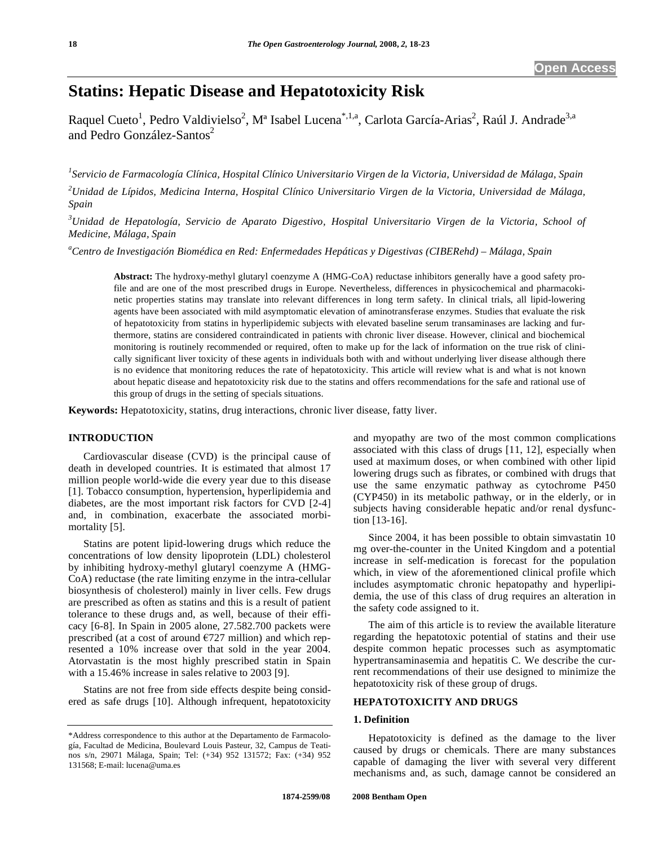# **Statins: Hepatic Disease and Hepatotoxicity Risk**

Raquel Cueto<sup>1</sup>, Pedro Valdivielso<sup>2</sup>, M<sup>a</sup> Isabel Lucena<sup>\*,1,a</sup>, Carlota García-Arias<sup>2</sup>, Raúl J. Andrade<sup>3,a</sup> and Pedro González-Santos<sup>2</sup>

*1 Servicio de Farmacología Clínica, Hospital Clínico Universitario Virgen de la Victoria, Universidad de Málaga, Spain* 

*2 Unidad de Lípidos, Medicina Interna, Hospital Clínico Universitario Virgen de la Victoria, Universidad de Málaga, Spain* 

*3 Unidad de Hepatología, Servicio de Aparato Digestivo, Hospital Universitario Virgen de la Victoria, School of Medicine, Málaga, Spain* 

*a Centro de Investigación Biomédica en Red: Enfermedades Hepáticas y Digestivas (CIBERehd) – Málaga, Spain* 

**Abstract:** The hydroxy-methyl glutaryl coenzyme A (HMG-CoA) reductase inhibitors generally have a good safety profile and are one of the most prescribed drugs in Europe. Nevertheless, differences in physicochemical and pharmacokinetic properties statins may translate into relevant differences in long term safety. In clinical trials, all lipid-lowering agents have been associated with mild asymptomatic elevation of aminotransferase enzymes. Studies that evaluate the risk of hepatotoxicity from statins in hyperlipidemic subjects with elevated baseline serum transaminases are lacking and furthermore, statins are considered contraindicated in patients with chronic liver disease. However, clinical and biochemical monitoring is routinely recommended or required, often to make up for the lack of information on the true risk of clinically significant liver toxicity of these agents in individuals both with and without underlying liver disease although there is no evidence that monitoring reduces the rate of hepatotoxicity. This article will review what is and what is not known about hepatic disease and hepatotoxicity risk due to the statins and offers recommendations for the safe and rational use of this group of drugs in the setting of specials situations.

**Keywords:** Hepatotoxicity, statins, drug interactions, chronic liver disease, fatty liver.

# **INTRODUCTION**

 Cardiovascular disease (CVD) is the principal cause of death in developed countries. It is estimated that almost 17 million people world-wide die every year due to this disease [1]. Tobacco consumption, hypertension, hyperlipidemia and diabetes, are the most important risk factors for CVD [2-4] and, in combination, exacerbate the associated morbimortality [5].

 Statins are potent lipid-lowering drugs which reduce the concentrations of low density lipoprotein (LDL) cholesterol by inhibiting hydroxy-methyl glutaryl coenzyme A (HMG-CoA) reductase (the rate limiting enzyme in the intra-cellular biosynthesis of cholesterol) mainly in liver cells. Few drugs are prescribed as often as statins and this is a result of patient tolerance to these drugs and, as well, because of their efficacy [6-8]. In Spain in 2005 alone, 27.582.700 packets were prescribed (at a cost of around  $E$ 727 million) and which represented a 10% increase over that sold in the year 2004. Atorvastatin is the most highly prescribed statin in Spain with a 15.46% increase in sales relative to 2003 [9].

 Statins are not free from side effects despite being considered as safe drugs [10]. Although infrequent, hepatotoxicity and myopathy are two of the most common complications associated with this class of drugs [11, 12], especially when used at maximum doses, or when combined with other lipid lowering drugs such as fibrates, or combined with drugs that use the same enzymatic pathway as cytochrome P450 (CYP450) in its metabolic pathway, or in the elderly, or in subjects having considerable hepatic and/or renal dysfunction [13-16].

 Since 2004, it has been possible to obtain simvastatin 10 mg over-the-counter in the United Kingdom and a potential increase in self-medication is forecast for the population which, in view of the aforementioned clinical profile which includes asymptomatic chronic hepatopathy and hyperlipidemia, the use of this class of drug requires an alteration in the safety code assigned to it.

 The aim of this article is to review the available literature regarding the hepatotoxic potential of statins and their use despite common hepatic processes such as asymptomatic hypertransaminasemia and hepatitis C. We describe the current recommendations of their use designed to minimize the hepatotoxicity risk of these group of drugs.

## **HEPATOTOXICITY AND DRUGS**

# **1. Definition**

 Hepatotoxicity is defined as the damage to the liver caused by drugs or chemicals. There are many substances capable of damaging the liver with several very different mechanisms and, as such, damage cannot be considered an

<sup>\*</sup>Address correspondence to this author at the Departamento de Farmacología, Facultad de Medicina, Boulevard Louis Pasteur, 32, Campus de Teatinos s/n, 29071 Málaga, Spain; Tel: (+34) 952 131572; Fax: (+34) 952 131568; E-mail: lucena@uma.es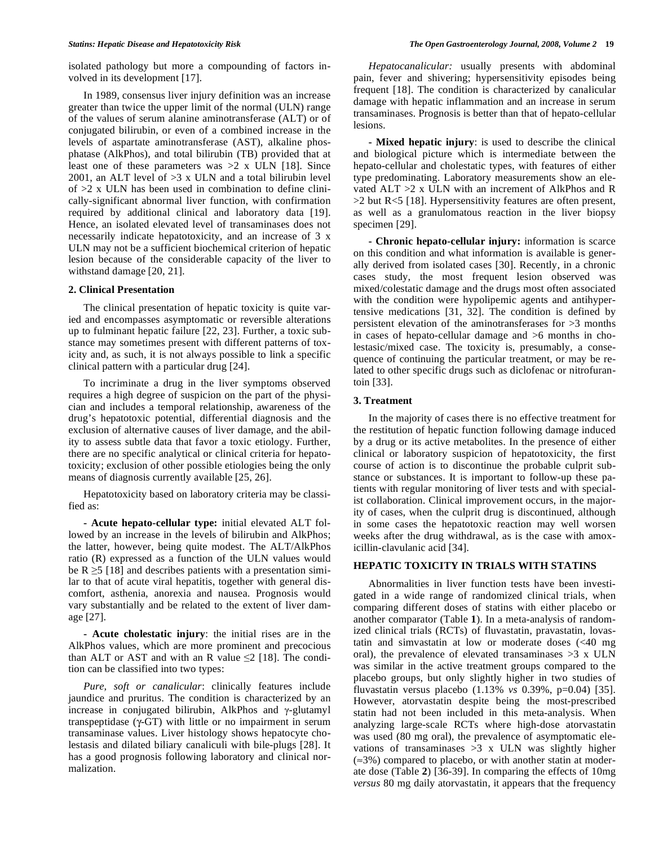isolated pathology but more a compounding of factors involved in its development [17].

 In 1989, consensus liver injury definition was an increase greater than twice the upper limit of the normal (ULN) range of the values of serum alanine aminotransferase (ALT) or of conjugated bilirubin, or even of a combined increase in the levels of aspartate aminotransferase (AST), alkaline phosphatase (AlkPhos), and total bilirubin (TB) provided that at least one of these parameters was  $>2$  x ULN [18]. Since 2001, an ALT level of  $>3$  x ULN and a total bilirubin level of  $>2$  x ULN has been used in combination to define clinically-significant abnormal liver function, with confirmation required by additional clinical and laboratory data [19]. Hence, an isolated elevated level of transaminases does not necessarily indicate hepatotoxicity, and an increase of 3 x ULN may not be a sufficient biochemical criterion of hepatic lesion because of the considerable capacity of the liver to withstand damage [20, 21].

#### **2. Clinical Presentation**

 The clinical presentation of hepatic toxicity is quite varied and encompasses asymptomatic or reversible alterations up to fulminant hepatic failure [22, 23]. Further, a toxic substance may sometimes present with different patterns of toxicity and, as such, it is not always possible to link a specific clinical pattern with a particular drug [24].

 To incriminate a drug in the liver symptoms observed requires a high degree of suspicion on the part of the physician and includes a temporal relationship, awareness of the drug's hepatotoxic potential, differential diagnosis and the exclusion of alternative causes of liver damage, and the ability to assess subtle data that favor a toxic etiology. Further, there are no specific analytical or clinical criteria for hepatotoxicity; exclusion of other possible etiologies being the only means of diagnosis currently available [25, 26].

 Hepatotoxicity based on laboratory criteria may be classified as:

 **- Acute hepato-cellular type:** initial elevated ALT followed by an increase in the levels of bilirubin and AlkPhos; the latter, however, being quite modest. The ALT/AlkPhos ratio (R) expressed as a function of the ULN values would be  $R \ge 5$  [18] and describes patients with a presentation similar to that of acute viral hepatitis, together with general discomfort, asthenia, anorexia and nausea. Prognosis would vary substantially and be related to the extent of liver damage [27].

 **- Acute cholestatic injury**: the initial rises are in the AlkPhos values, which are more prominent and precocious than ALT or AST and with an R value  $\leq$  [18]. The condition can be classified into two types:

 *Pure, soft or canalicular*: clinically features include jaundice and pruritus. The condition is characterized by an increase in conjugated bilirubin, AlkPhos and  $\gamma$ -glutamyl transpeptidase  $(\gamma$ -GT) with little or no impairment in serum transaminase values. Liver histology shows hepatocyte cholestasis and dilated biliary canaliculi with bile-plugs [28]. It has a good prognosis following laboratory and clinical normalization.

 *Hepatocanalicular:* usually presents with abdominal pain, fever and shivering; hypersensitivity episodes being frequent [18]. The condition is characterized by canalicular damage with hepatic inflammation and an increase in serum transaminases. Prognosis is better than that of hepato-cellular lesions.

 **- Mixed hepatic injury**: is used to describe the clinical and biological picture which is intermediate between the hepato-cellular and cholestatic types, with features of either type predominating. Laboratory measurements show an elevated ALT >2 x ULN with an increment of AlkPhos and R  $>2$  but R<5 [18]. Hypersensitivity features are often present, as well as a granulomatous reaction in the liver biopsy specimen [29].

 **- Chronic hepato-cellular injury:** information is scarce on this condition and what information is available is generally derived from isolated cases [30]. Recently, in a chronic cases study, the most frequent lesion observed was mixed/colestatic damage and the drugs most often associated with the condition were hypolipemic agents and antihypertensive medications [31, 32]. The condition is defined by persistent elevation of the aminotransferases for >3 months in cases of hepato-cellular damage and >6 months in cholestasic/mixed case. The toxicity is, presumably, a consequence of continuing the particular treatment, or may be related to other specific drugs such as diclofenac or nitrofurantoin [33].

#### **3. Treatment**

 In the majority of cases there is no effective treatment for the restitution of hepatic function following damage induced by a drug or its active metabolites. In the presence of either clinical or laboratory suspicion of hepatotoxicity, the first course of action is to discontinue the probable culprit substance or substances. It is important to follow-up these patients with regular monitoring of liver tests and with specialist collaboration. Clinical improvement occurs, in the majority of cases, when the culprit drug is discontinued, although in some cases the hepatotoxic reaction may well worsen weeks after the drug withdrawal, as is the case with amoxicillin-clavulanic acid [34].

# **HEPATIC TOXICITY IN TRIALS WITH STATINS**

 Abnormalities in liver function tests have been investigated in a wide range of randomized clinical trials, when comparing different doses of statins with either placebo or another comparator (Table **1**). In a meta-analysis of randomized clinical trials (RCTs) of fluvastatin, pravastatin, lovastatin and simvastatin at low or moderate doses (<40 mg oral), the prevalence of elevated transaminases  $>3$  x ULN was similar in the active treatment groups compared to the placebo groups, but only slightly higher in two studies of fluvastatin versus placebo (1.13% *vs* 0.39%, p=0.04) [35]. However, atorvastatin despite being the most-prescribed statin had not been included in this meta-analysis. When analyzing large-scale RCTs where high-dose atorvastatin was used (80 mg oral), the prevalence of asymptomatic elevations of transaminases  $>3$  x ULN was slightly higher  $(\approx 3\%)$  compared to placebo, or with another statin at moderate dose (Table **2**) [36-39]. In comparing the effects of 10mg *versus* 80 mg daily atorvastatin, it appears that the frequency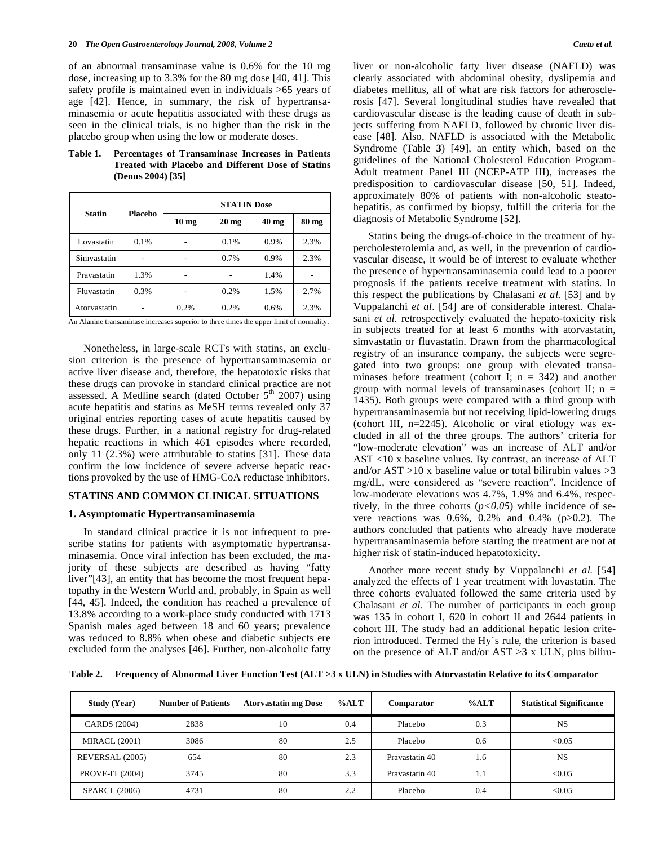of an abnormal transaminase value is 0.6% for the 10 mg dose, increasing up to 3.3% for the 80 mg dose [40, 41]. This safety profile is maintained even in individuals >65 years of age [42]. Hence, in summary, the risk of hypertransaminasemia or acute hepatitis associated with these drugs as seen in the clinical trials, is no higher than the risk in the placebo group when using the low or moderate doses.

| <b>Statin</b> | Placebo | <b>STATIN Dose</b> |                 |                 |       |
|---------------|---------|--------------------|-----------------|-----------------|-------|
|               |         | 10 <sub>mg</sub>   | $20 \text{ mg}$ | $40 \text{ mg}$ | 80 mg |
| Lovastatin    | 0.1%    |                    | 0.1%            | 0.9%            | 2.3%  |
| Simvastatin   |         |                    | 0.7%            | 0.9%            | 2.3%  |
| Pravastatin   | 1.3%    |                    |                 | 1.4%            |       |
| Fluvastatin   | 0.3%    |                    | 0.2%            | 1.5%            | 2.7%  |
| Atorvastatin  |         | 0.2%               | 0.2%            | 0.6%            | 2.3%  |

### **Table 1. Percentages of Transaminase Increases in Patients Treated with Placebo and Different Dose of Statins (Denus 2004) [35]**

An Alanine transaminase increases superior to three times the upper limit of normality.

 Nonetheless, in large-scale RCTs with statins, an exclusion criterion is the presence of hypertransaminasemia or active liver disease and, therefore, the hepatotoxic risks that these drugs can provoke in standard clinical practice are not assessed. A Medline search (dated October  $5<sup>th</sup>$  2007) using acute hepatitis and statins as MeSH terms revealed only 37 original entries reporting cases of acute hepatitis caused by these drugs. Further, in a national registry for drug-related hepatic reactions in which 461 episodes where recorded, only 11 (2.3%) were attributable to statins [31]. These data confirm the low incidence of severe adverse hepatic reactions provoked by the use of HMG-CoA reductase inhibitors.

#### **STATINS AND COMMON CLINICAL SITUATIONS**

#### **1. Asymptomatic Hypertransaminasemia**

 In standard clinical practice it is not infrequent to prescribe statins for patients with asymptomatic hypertransaminasemia. Once viral infection has been excluded, the majority of these subjects are described as having "fatty liver"[43], an entity that has become the most frequent hepatopathy in the Western World and, probably, in Spain as well [44, 45]. Indeed, the condition has reached a prevalence of 13.8% according to a work-place study conducted with 1713 Spanish males aged between 18 and 60 years; prevalence was reduced to 8.8% when obese and diabetic subjects ere excluded form the analyses [46]. Further, non-alcoholic fatty

liver or non-alcoholic fatty liver disease (NAFLD) was clearly associated with abdominal obesity, dyslipemia and diabetes mellitus, all of what are risk factors for atherosclerosis [47]. Several longitudinal studies have revealed that cardiovascular disease is the leading cause of death in subjects suffering from NAFLD, followed by chronic liver disease [48]. Also, NAFLD is associated with the Metabolic Syndrome (Table **3**) [49], an entity which, based on the guidelines of the National Cholesterol Education Program-Adult treatment Panel III (NCEP-ATP III), increases the predisposition to cardiovascular disease [50, 51]. Indeed, approximately 80% of patients with non-alcoholic steatohepatitis, as confirmed by biopsy, fulfill the criteria for the diagnosis of Metabolic Syndrome [52].

 Statins being the drugs-of-choice in the treatment of hypercholesterolemia and, as well, in the prevention of cardiovascular disease, it would be of interest to evaluate whether the presence of hypertransaminasemia could lead to a poorer prognosis if the patients receive treatment with statins. In this respect the publications by Chalasani *et al.* [53] and by Vuppalanchi *et al*. [54] are of considerable interest. Chalasani *et al*. retrospectively evaluated the hepato-toxicity risk in subjects treated for at least 6 months with atorvastatin, simvastatin or fluvastatin. Drawn from the pharmacological registry of an insurance company, the subjects were segregated into two groups: one group with elevated transaminases before treatment (cohort I;  $n = 342$ ) and another group with normal levels of transaminases (cohort II;  $n =$ 1435). Both groups were compared with a third group with hypertransaminasemia but not receiving lipid-lowering drugs (cohort III, n=2245). Alcoholic or viral etiology was excluded in all of the three groups. The authors' criteria for "low-moderate elevation" was an increase of ALT and/or AST <10 x baseline values. By contrast, an increase of ALT and/or  $AST >10$  x baseline value or total bilirubin values  $>3$ mg/dL, were considered as "severe reaction". Incidence of low-moderate elevations was 4.7%, 1.9% and 6.4%, respectively, in the three cohorts  $(p<0.05)$  while incidence of severe reactions was  $0.6\%$ ,  $0.2\%$  and  $0.4\%$  (p $>0.2$ ). The authors concluded that patients who already have moderate hypertransaminasemia before starting the treatment are not at higher risk of statin-induced hepatotoxicity.

 Another more recent study by Vuppalanchi *et al.* [54] analyzed the effects of 1 year treatment with lovastatin. The three cohorts evaluated followed the same criteria used by Chalasani *et al*. The number of participants in each group was 135 in cohort I, 620 in cohort II and 2644 patients in cohort III. The study had an additional hepatic lesion criterion introduced. Termed the Hy´s rule, the criterion is based on the presence of ALT and/or AST >3 x ULN, plus biliru-

**Table 2. Frequency of Abnormal Liver Function Test (ALT >3 x ULN) in Studies with Atorvastatin Relative to its Comparator** 

| Study (Year)         | <b>Number of Patients</b> | <b>Atorvastatin mg Dose</b> | %ALT | Comparator     | %ALT | <b>Statistical Significance</b> |
|----------------------|---------------------------|-----------------------------|------|----------------|------|---------------------------------|
| CARDS (2004)         | 2838                      | 10                          | 0.4  | Placebo        | 0.3  | NS                              |
| <b>MIRACL</b> (2001) | 3086                      | 80                          | 2.5  | Placebo        | 0.6  | < 0.05                          |
| REVERSAL (2005)      | 654                       | 80                          | 2.3  | Pravastatin 40 | 1.6  | NS <sub></sub>                  |
| PROVE-IT (2004)      | 3745                      | 80                          | 3.3  | Pravastatin 40 | 1.1  | < 0.05                          |
| <b>SPARCL (2006)</b> | 4731                      | 80                          | 2.2  | Placebo        | 0.4  | < 0.05                          |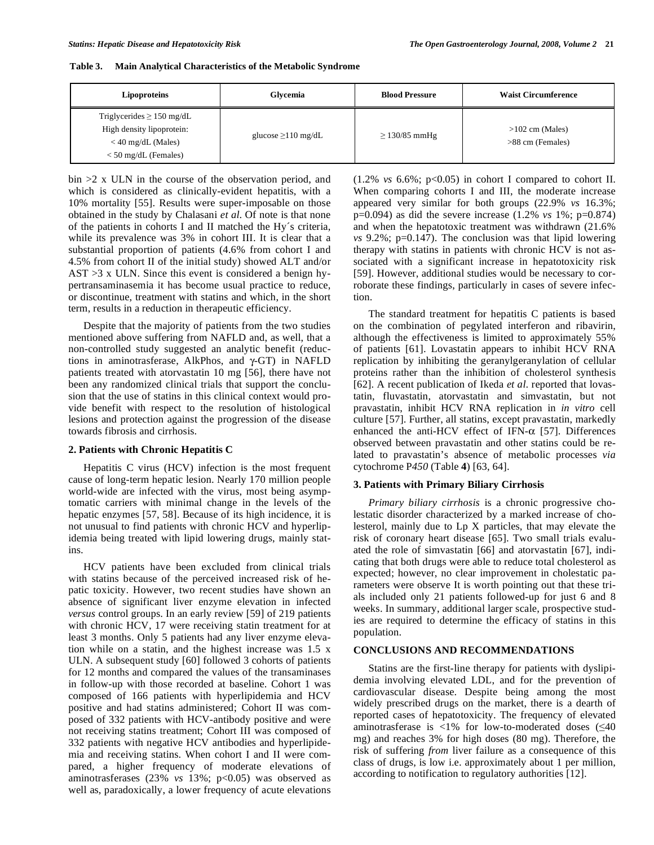| Table 3. | <b>Main Analytical Characteristics of the Metabolic Syndrome</b> |  |  |
|----------|------------------------------------------------------------------|--|--|
|          |                                                                  |  |  |

| Lipoproteins                                                                                                  | Glycemia                 | <b>Blood Pressure</b> | <b>Waist Circumference</b>            |
|---------------------------------------------------------------------------------------------------------------|--------------------------|-----------------------|---------------------------------------|
| Triglycerides $\geq$ 150 mg/dL<br>High density lipoprotein:<br>$<$ 40 mg/dL (Males)<br>$<$ 50 mg/dL (Females) | glucose $\geq$ 110 mg/dL | $\geq$ 130/85 mmHg    | $>102$ cm (Males)<br>>88 cm (Females) |

bin >2 x ULN in the course of the observation period, and which is considered as clinically-evident hepatitis, with a 10% mortality [55]. Results were super-imposable on those obtained in the study by Chalasani *et al*. Of note is that none of the patients in cohorts I and II matched the Hy´s criteria, while its prevalence was 3% in cohort III. It is clear that a substantial proportion of patients (4.6% from cohort I and 4.5% from cohort II of the initial study) showed ALT and/or  $AST > 3$  x ULN. Since this event is considered a benign hypertransaminasemia it has become usual practice to reduce, or discontinue, treatment with statins and which, in the short term, results in a reduction in therapeutic efficiency.

 Despite that the majority of patients from the two studies mentioned above suffering from NAFLD and, as well, that a non-controlled study suggested an analytic benefit (reductions in aminotrasferase, AlkPhos, and  $\gamma$ -GT) in NAFLD patients treated with atorvastatin 10 mg [56], there have not been any randomized clinical trials that support the conclusion that the use of statins in this clinical context would provide benefit with respect to the resolution of histological lesions and protection against the progression of the disease towards fibrosis and cirrhosis.

#### **2. Patients with Chronic Hepatitis C**

 Hepatitis C virus (HCV) infection is the most frequent cause of long-term hepatic lesion. Nearly 170 million people world-wide are infected with the virus, most being asymptomatic carriers with minimal change in the levels of the hepatic enzymes [57, 58]. Because of its high incidence, it is not unusual to find patients with chronic HCV and hyperlipidemia being treated with lipid lowering drugs, mainly statins.

 HCV patients have been excluded from clinical trials with statins because of the perceived increased risk of hepatic toxicity. However, two recent studies have shown an absence of significant liver enzyme elevation in infected *versus* control groups. In an early review [59] of 219 patients with chronic HCV, 17 were receiving statin treatment for at least 3 months. Only 5 patients had any liver enzyme elevation while on a statin, and the highest increase was 1.5 x ULN. A subsequent study [60] followed 3 cohorts of patients for 12 months and compared the values of the transaminases in follow-up with those recorded at baseline. Cohort 1 was composed of 166 patients with hyperlipidemia and HCV positive and had statins administered; Cohort II was composed of 332 patients with HCV-antibody positive and were not receiving statins treatment; Cohort III was composed of 332 patients with negative HCV antibodies and hyperlipidemia and receiving statins. When cohort I and II were compared, a higher frequency of moderate elevations of aminotrasferases (23% *vs* 13%; p<0.05) was observed as well as, paradoxically, a lower frequency of acute elevations

 $(1.2\% \text{ vs } 6.6\%; \text{ p<0.05}) \text{ in cohort I compared to cohort II.}$ When comparing cohorts I and III, the moderate increase appeared very similar for both groups (22.9% *vs* 16.3%; p=0.094) as did the severe increase (1.2% *vs* 1%; p=0.874) and when the hepatotoxic treatment was withdrawn (21.6% *vs* 9.2%; p=0.147). The conclusion was that lipid lowering therapy with statins in patients with chronic HCV is not associated with a significant increase in hepatotoxicity risk [59]. However, additional studies would be necessary to corroborate these findings, particularly in cases of severe infection.

 The standard treatment for hepatitis C patients is based on the combination of pegylated interferon and ribavirin, although the effectiveness is limited to approximately 55% of patients [61]. Lovastatin appears to inhibit HCV RNA replication by inhibiting the geranylgeranylation of cellular proteins rather than the inhibition of cholesterol synthesis [62]. A recent publication of Ikeda *et al*. reported that lovastatin, fluvastatin, atorvastatin and simvastatin, but not pravastatin, inhibit HCV RNA replication in *in vitro* cell culture [57]. Further, all statins, except pravastatin, markedly enhanced the anti-HCV effect of IFN- $\alpha$  [57]. Differences observed between pravastatin and other statins could be related to pravastatin's absence of metabolic processes *via*  cytochrome P*450* (Table **4**) [63, 64].

### **3. Patients with Primary Biliary Cirrhosis**

*Primary biliary cirrhosis* is a chronic progressive cholestatic disorder characterized by a marked increase of cholesterol, mainly due to Lp X particles, that may elevate the risk of coronary heart disease [65]. Two small trials evaluated the role of simvastatin [66] and atorvastatin [67], indicating that both drugs were able to reduce total cholesterol as expected; however, no clear improvement in cholestatic parameters were observe It is worth pointing out that these trials included only 21 patients followed-up for just 6 and 8 weeks. In summary, additional larger scale, prospective studies are required to determine the efficacy of statins in this population.

#### **CONCLUSIONS AND RECOMMENDATIONS**

 Statins are the first-line therapy for patients with dyslipidemia involving elevated LDL, and for the prevention of cardiovascular disease. Despite being among the most widely prescribed drugs on the market, there is a dearth of reported cases of hepatotoxicity. The frequency of elevated aminotrasferase is  $\langle 1\%$  for low-to-moderated doses ( $\leq 40$ ) mg) and reaches 3% for high doses (80 mg). Therefore, the risk of suffering *from* liver failure as a consequence of this class of drugs, is low i.e. approximately about 1 per million, according to notification to regulatory authorities [12].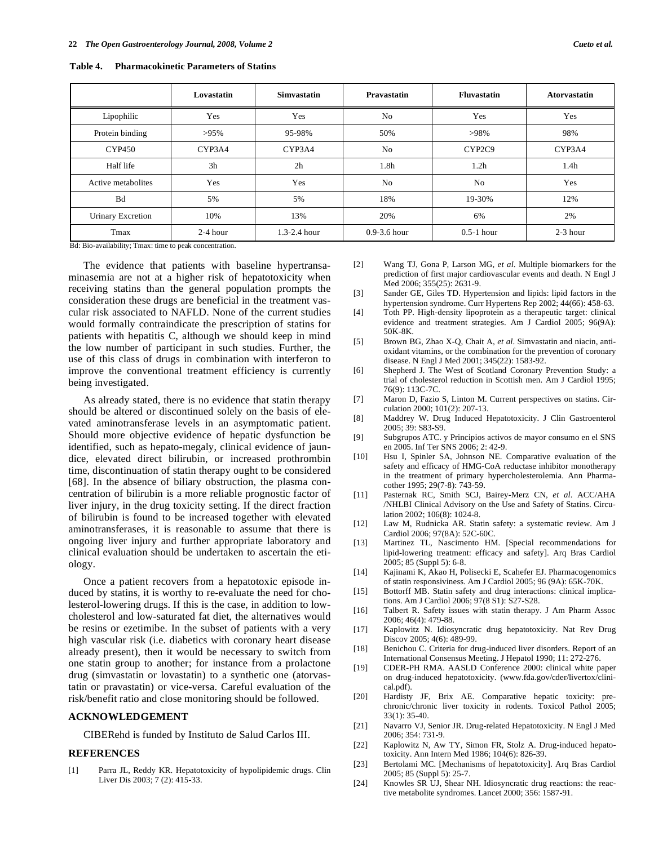|                          | Lovastatin | <b>Simvastatin</b> | <b>Pravastatin</b> | <b>Fluvastatin</b> | <b>Atorvastatin</b> |
|--------------------------|------------|--------------------|--------------------|--------------------|---------------------|
| Lipophilic               | Yes        | Yes                | No                 | Yes                | Yes                 |
| Protein binding          | $>95\%$    | 95-98%             | 50%                | $>98\%$            | 98%                 |
| <b>CYP450</b>            | CYP3A4     | CYP3A4             | N <sub>o</sub>     | CYP2C9             | CYP3A4              |
| Half life                | 3h         | 2h                 | 1.8 <sub>h</sub>   | 1.2 <sub>h</sub>   | 1.4 <sub>h</sub>    |
| Active metabolites       | Yes        | Yes                | N <sub>o</sub>     | N <sub>0</sub>     | Yes                 |
| Bd                       | 5%         | 5%                 | 18%                | 19-30%             | 12%                 |
| <b>Urinary Excretion</b> | 10%        | 13%                | 20%                | 6%                 | 2%                  |
| Tmax                     | $2-4$ hour | $1.3 - 2.4$ hour   | $0.9 - 3.6$ hour   | $0.5-1$ hour       | $2-3$ hour          |

**Table 4. Pharmacokinetic Parameters of Statins** 

Bd: Bio-availability; Tmax: time to peak concentration.

 The evidence that patients with baseline hypertransaminasemia are not at a higher risk of hepatotoxicity when receiving statins than the general population prompts the consideration these drugs are beneficial in the treatment vascular risk associated to NAFLD. None of the current studies would formally contraindicate the prescription of statins for patients with hepatitis C, although we should keep in mind the low number of participant in such studies. Further, the use of this class of drugs in combination with interferon to improve the conventional treatment efficiency is currently being investigated.

 As already stated, there is no evidence that statin therapy should be altered or discontinued solely on the basis of elevated aminotransferase levels in an asymptomatic patient. Should more objective evidence of hepatic dysfunction be identified, such as hepato-megaly, clinical evidence of jaundice, elevated direct bilirubin, or increased prothrombin time, discontinuation of statin therapy ought to be considered [68]. In the absence of biliary obstruction, the plasma concentration of bilirubin is a more reliable prognostic factor of liver injury, in the drug toxicity setting. If the direct fraction of bilirubin is found to be increased together with elevated aminotransferases, it is reasonable to assume that there is ongoing liver injury and further appropriate laboratory and clinical evaluation should be undertaken to ascertain the etiology.

 Once a patient recovers from a hepatotoxic episode induced by statins, it is worthy to re-evaluate the need for cholesterol-lowering drugs. If this is the case, in addition to lowcholesterol and low-saturated fat diet, the alternatives would be resins or ezetimibe. In the subset of patients with a very high vascular risk (i.e. diabetics with coronary heart disease already present), then it would be necessary to switch from one statin group to another; for instance from a prolactone drug (simvastatin or lovastatin) to a synthetic one (atorvastatin or pravastatin) or vice-versa. Careful evaluation of the risk/benefit ratio and close monitoring should be followed.

## **ACKNOWLEDGEMENT**

CIBERehd is funded by Instituto de Salud Carlos III.

#### **REFERENCES**

[1] Parra JL, Reddy KR. Hepatotoxicity of hypolipidemic drugs. Clin Liver Dis 2003; 7 (2): 415-33.

- [2] Wang TJ, Gona P, Larson MG, *et al*. Multiple biomarkers for the prediction of first major cardiovascular events and death. N Engl J Med 2006; 355(25): 2631-9.
- [3] Sander GE, Giles TD. Hypertension and lipids: lipid factors in the hypertension syndrome. Curr Hypertens Rep 2002; 44(66): 458-63.
- [4] Toth PP. High-density lipoprotein as a therapeutic target: clinical evidence and treatment strategies. Am J Cardiol 2005; 96(9A): 50K-8K.
- [5] Brown BG, Zhao X-Q, Chait A, *et al*. Simvastatin and niacin, antioxidant vitamins, or the combination for the prevention of coronary disease. N Engl J Med 2001; 345(22): 1583-92.
- [6] Shepherd J. The West of Scotland Coronary Prevention Study: a trial of cholesterol reduction in Scottish men. Am J Cardiol 1995; 76(9): 113C-7C.
- [7] Maron D, Fazio S, Linton M. Current perspectives on statins. Circulation 2000; 101(2): 207-13.
- [8] Maddrey W. Drug Induced Hepatotoxicity. J Clin Gastroenterol 2005; 39: S83-S9.
- [9] Subgrupos ATC. y Principios activos de mayor consumo en el SNS en 2005. Inf Ter SNS 2006; 2: 42-9.
- [10] Hsu I, Spinler SA, Johnson NE. Comparative evaluation of the safety and efficacy of HMG-CoA reductase inhibitor monotherapy in the treatment of primary hypercholesterolemia. Ann Pharmacother 1995; 29(7-8): 743-59.
- [11] Pasternak RC, Smith SCJ, Bairey-Merz CN, *et al*. ACC/AHA /NHLBI Clinical Advisory on the Use and Safety of Statins. Circulation 2002; 106(8): 1024-8.
- [12] Law M, Rudnicka AR. Statin safety: a systematic review. Am J Cardiol 2006; 97(8A): 52C-60C.
- [13] Martinez TL, Nascimento HM. [Special recommendations for lipid-lowering treatment: efficacy and safety]. Arq Bras Cardiol 2005; 85 (Suppl 5): 6-8.
- [14] Kajinami K, Akao H, Polisecki E, Scahefer EJ. Pharmacogenomics of statin responsiviness. Am J Cardiol 2005; 96 (9A): 65K-70K.
- [15] Bottorff MB. Statin safety and drug interactions: clinical implications. Am J Cardiol 2006; 97(8 S1): S27-S28.
- [16] Talbert R. Safety issues with statin therapy. J Am Pharm Assoc 2006; 46(4): 479-88.
- [17] Kaplowitz N. Idiosyncratic drug hepatotoxicity. Nat Rev Drug Discov 2005; 4(6): 489-99.
- [18] Benichou C. Criteria for drug-induced liver disorders. Report of an International Consensus Meeting. J Hepatol 1990; 11: 272-276.
- [19] CDER-PH RMA. AASLD Conference 2000: clinical white paper on drug-induced hepatotoxicity. (www.fda.gov/cder/livertox/clinical.pdf).
- [20] Hardisty JF, Brix AE. Comparative hepatic toxicity: prechronic/chronic liver toxicity in rodents. Toxicol Pathol 2005; 33(1): 35-40.
- [21] Navarro VJ, Senior JR. Drug-related Hepatotoxicity. N Engl J Med 2006; 354: 731-9.
- [22] Kaplowitz N, Aw TY, Simon FR, Stolz A. Drug-induced hepatotoxicity. Ann Intern Med 1986; 104(6): 826-39.
- [23] Bertolami MC. [Mechanisms of hepatotoxicity]. Arq Bras Cardiol 2005; 85 (Suppl 5): 25-7.
- [24] Knowles SR UJ, Shear NH. Idiosyncratic drug reactions: the reactive metabolite syndromes. Lancet 2000; 356: 1587-91.